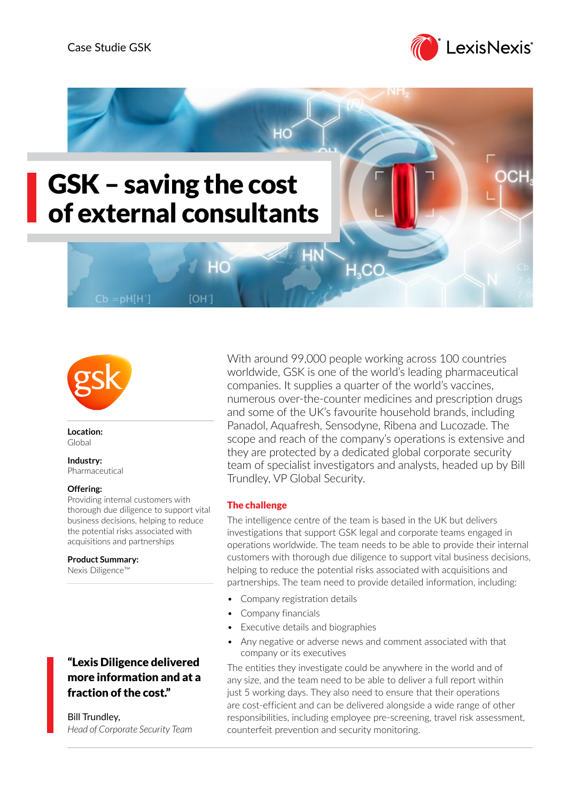





**Location:** Global

#### **Industry:** Pharmaceutical

## **Offering:**

Providing internal customers with thorough due diligence to support vital business decisions, helping to reduce the potential risks associated with acquisitions and partnerships

**Product Summary:** Nexis Diligence™

# "Lexis Diligence delivered more information and at a fraction of the cost."

Bill Trundley, *Head of Corporate Security Team* With around 99,000 people working across 100 countries worldwide, GSK is one of the world's leading pharmaceutical companies. It supplies a quarter of the world's vaccines, numerous over-the-counter medicines and prescription drugs and some of the UK's favourite household brands, including Panadol, Aquafresh, Sensodyne, Ribena and Lucozade. The scope and reach of the company's operations is extensive and they are protected by a dedicated global corporate security team of specialist investigators and analysts, headed up by Bill Trundley, VP Global Security.

# The challenge

The intelligence centre of the team is based in the UK but delivers investigations that support GSK legal and corporate teams engaged in operations worldwide. The team needs to be able to provide their internal customers with thorough due diligence to support vital business decisions, helping to reduce the potential risks associated with acquisitions and partnerships. The team need to provide detailed information, including:

- Company registration details
- Company financials
- Executive details and biographies
- Any negative or adverse news and comment associated with that company or its executives

The entities they investigate could be anywhere in the world and of any size, and the team need to be able to deliver a full report within just 5 working days. They also need to ensure that their operations are cost-efficient and can be delivered alongside a wide range of other responsibilities, including employee pre-screening, travel risk assessment, counterfeit prevention and security monitoring.